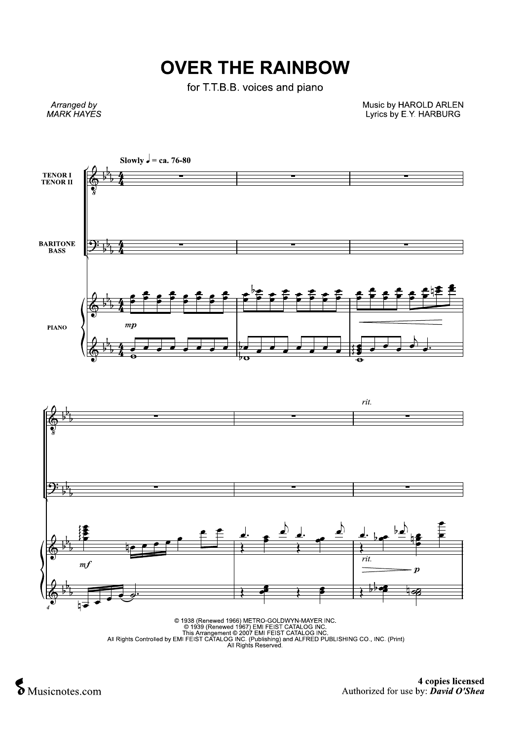## **OVER THE RAINBOW**

for T.T.B.B. voices and piano

Arranged by<br>MARK HAYES

Music by HAROLD ARLEN<br>Lyrics by E.Y. HARBURG



Musicnotes.com

4 copies licensed Authorized for use by:  $\vec{D}avid O'Shea$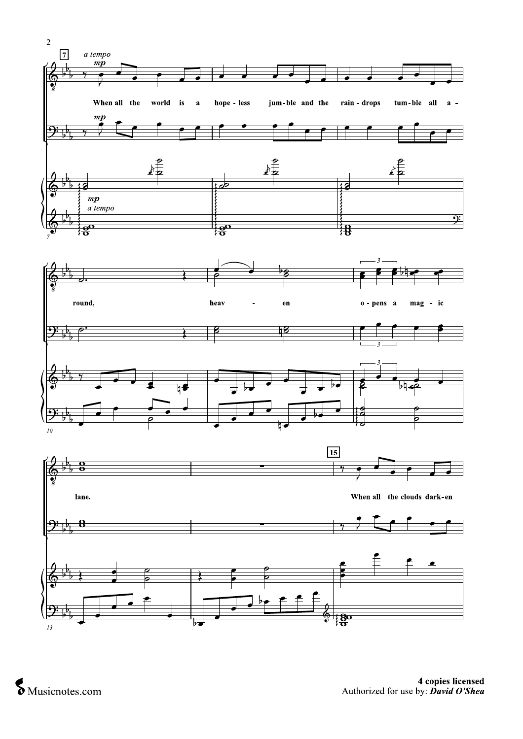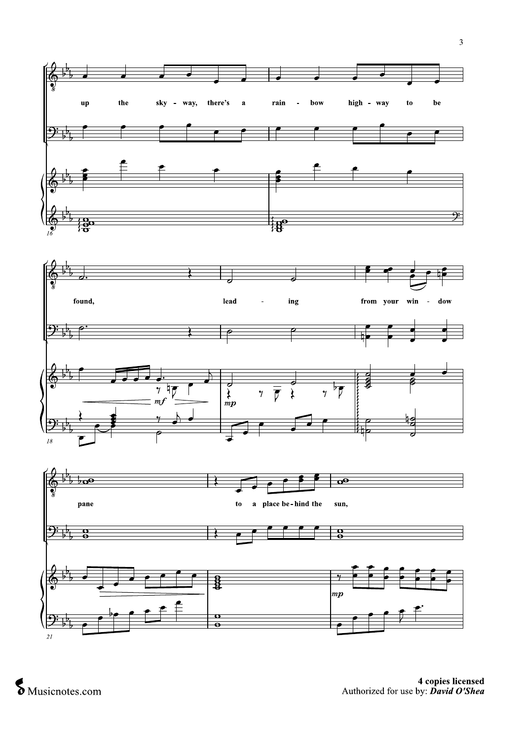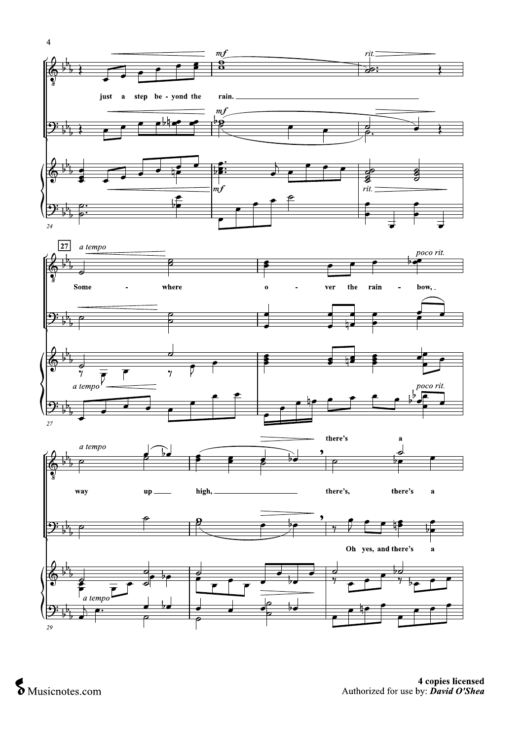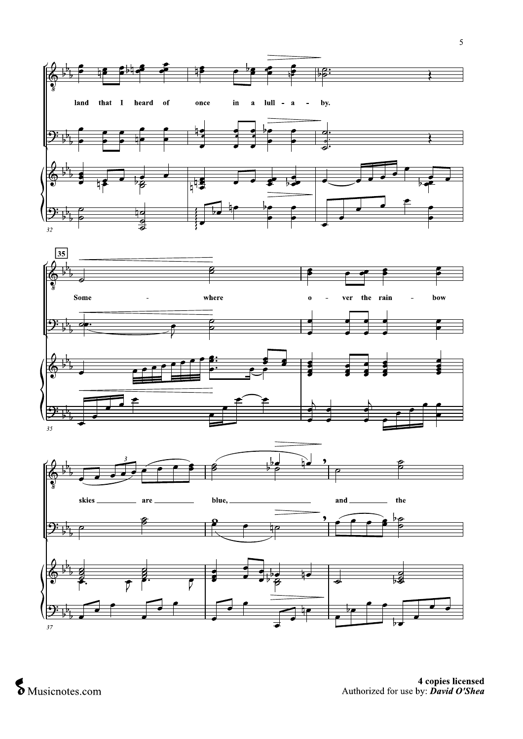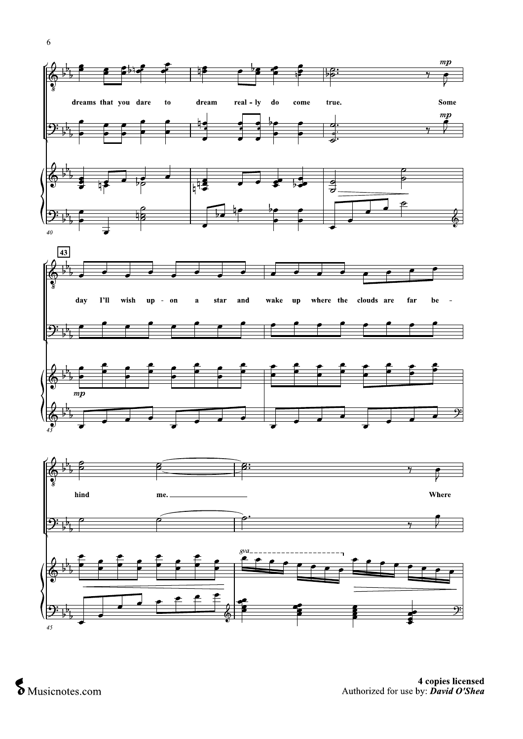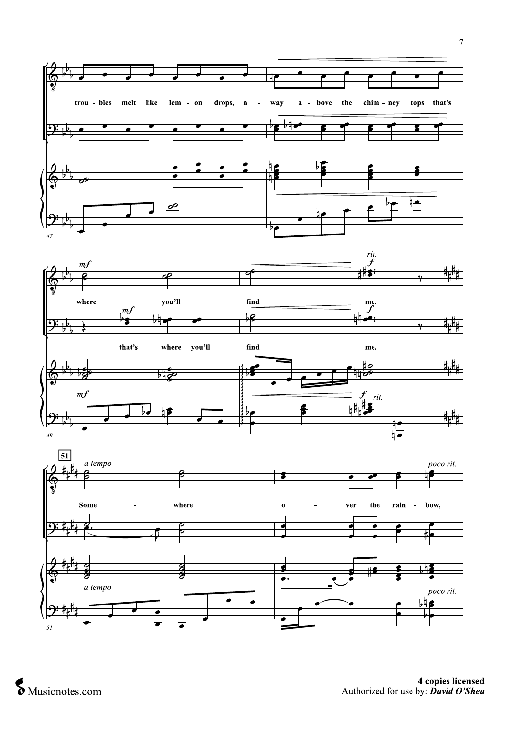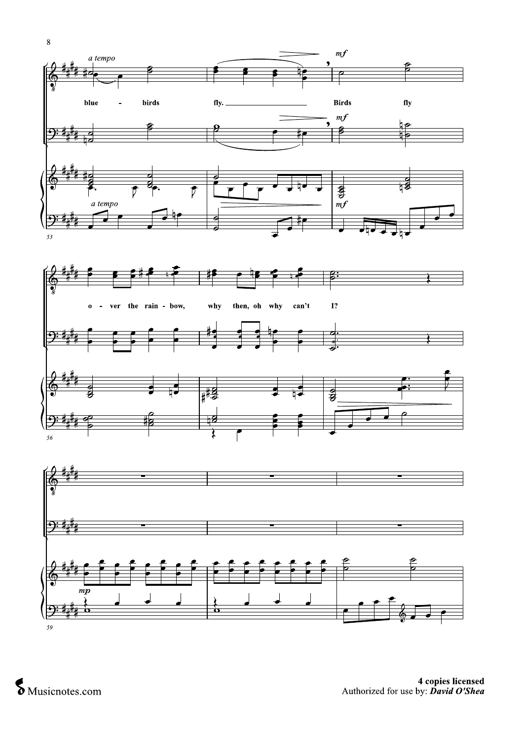$\,$  8  $\,$  $m f$ a tempo β **Birds**  $\mathbf{f}$ blue birds fly.  $\overline{a}$  $m f$  $\overline{\mathbf{P}:\mathbf{f}_\mu}$ क्षी  $\overline{P}$ D a tempo  $m f$ 

 $53$ 





h